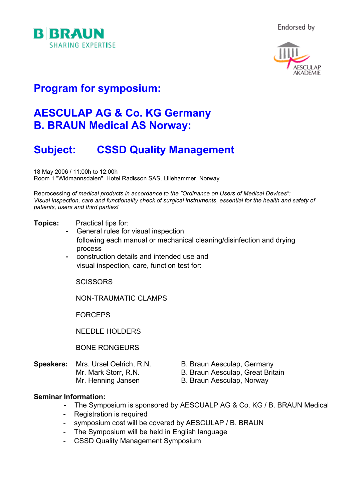



## **Program for symposium:**

### **AESCULAP AG & Co. KG Germany B. BRAUN Medical AS Norway:**

# **Subject: CSSD Quality Management**

18 May 2006 / 11:00h to 12:00h Room 1 "Widmannsdalen", Hotel Radisson SAS, Lillehammer, Norway

Reprocessing *of medical products in accordance to the "Ordinance on Users of Medical Devices": Visual inspection, care and functionality check of surgical instruments, essential for the health and safety of patients, users and third parties!*

#### **Topics:** Practical tips for:

- General rules for visual inspection following each manual or mechanical cleaning/disinfection and drying process
- construction details and intended use and visual inspection, care, function test for:

**SCISSORS** 

NON-TRAUMATIC CLAMPS

FORCEPS

NEEDLE HOLDERS

BONE RONGEURS

- **Speakers:** Mrs. Ursel Oelrich, R.N. B. Braun Aesculap, Germany
- - Mr. Mark Storr, R.N. B. Braun Aesculap, Great Britain
	- Mr. Henning Jansen B. Braun Aesculap, Norway

#### **Seminar Information:**

- The Symposium is sponsored by AESCUALP AG & Co. KG / B. BRAUN Medical
- Registration is required
- symposium cost will be covered by AESCULAP / B. BRAUN
- The Symposium will be held in English language
- CSSD Quality Management Symposium